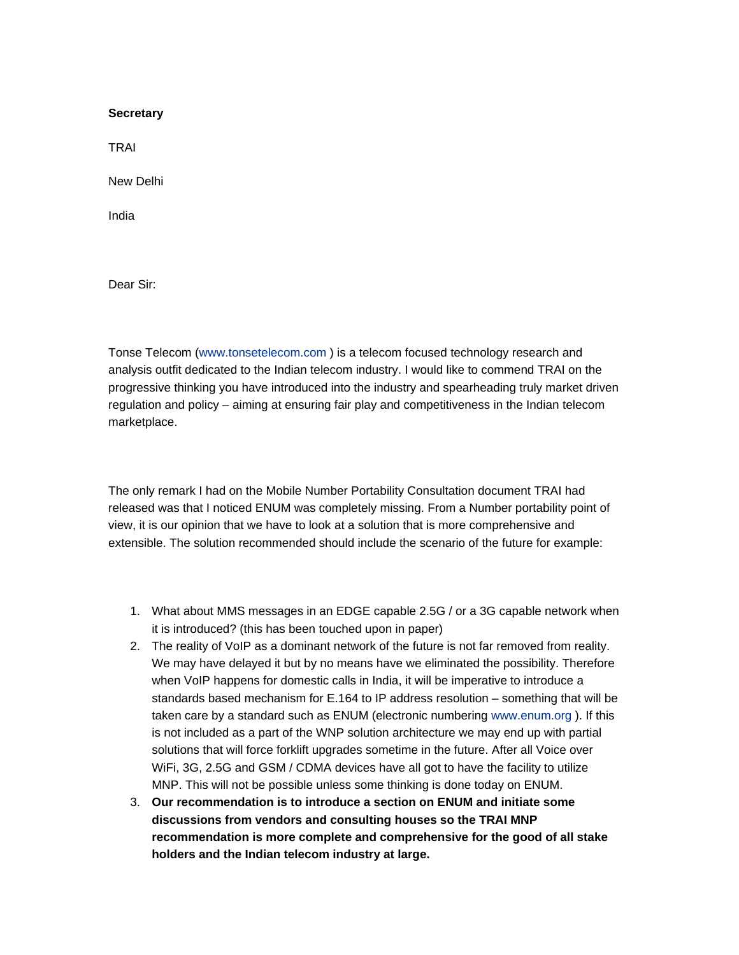## **Secretary**

TRAI

New Delhi

India

Dear Sir:

Tonse Telecom ([www.tonsetelecom.com](http://www.tonsetelecom.com/) ) is a telecom focused technology research and analysis outfit dedicated to the Indian telecom industry. I would like to commend TRAI on the progressive thinking you have introduced into the industry and spearheading truly market driven regulation and policy – aiming at ensuring fair play and competitiveness in the Indian telecom marketplace.

The only remark I had on the Mobile Number Portability Consultation document TRAI had released was that I noticed ENUM was completely missing. From a Number portability point of view, it is our opinion that we have to look at a solution that is more comprehensive and extensible. The solution recommended should include the scenario of the future for example:

- 1. What about MMS messages in an EDGE capable 2.5G / or a 3G capable network when it is introduced? (this has been touched upon in paper)
- 2. The reality of VoIP as a dominant network of the future is not far removed from reality. We may have delayed it but by no means have we eliminated the possibility. Therefore when VoIP happens for domestic calls in India, it will be imperative to introduce a standards based mechanism for E.164 to IP address resolution – something that will be taken care by a standard such as ENUM (electronic numbering [www.enum.org \)](http://www.enum.org/). If this is not included as a part of the WNP solution architecture we may end up with partial solutions that will force forklift upgrades sometime in the future. After all Voice over WiFi, 3G, 2.5G and GSM / CDMA devices have all got to have the facility to utilize MNP. This will not be possible unless some thinking is done today on ENUM.
- 3. **Our recommendation is to introduce a section on ENUM and initiate some discussions from vendors and consulting houses so the TRAI MNP recommendation is more complete and comprehensive for the good of all stake holders and the Indian telecom industry at large.**